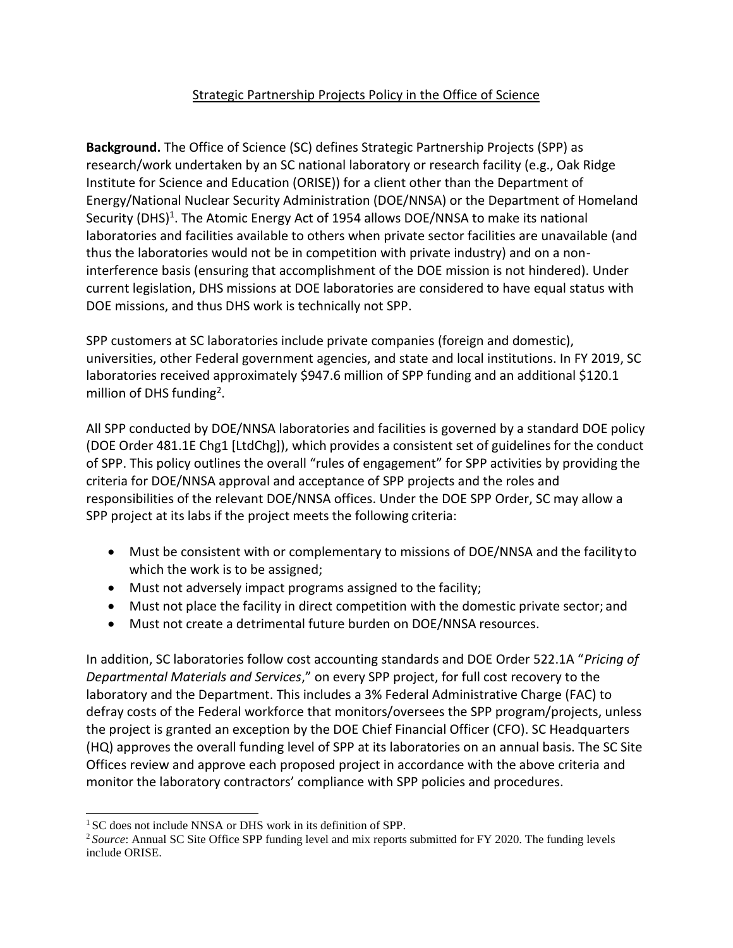## Strategic Partnership Projects Policy in the Office of Science

**Background.** The Office of Science (SC) defines Strategic Partnership Projects (SPP) as research/work undertaken by an SC national laboratory or research facility (e.g., Oak Ridge Institute for Science and Education (ORISE)) for a client other than the Department of Energy/National Nuclear Security Administration (DOE/NNSA) or the Department of Homeland Security (DHS)<sup>[1](#page-0-0)</sup>. The Atomic Energy Act of 1954 allows DOE/NNSA to make its national laboratories and facilities available to others when private sector facilities are unavailable (and thus the laboratories would not be in competition with private industry) and on a noninterference basis (ensuring that accomplishment of the DOE mission is not hindered). Under current legislation, DHS missions at DOE laboratories are considered to have equal status with DOE missions, and thus DHS work is technically not SPP.

SPP customers at SC laboratories include private companies (foreign and domestic), universities, other Federal government agencies, and state and local institutions. In FY 2019, SC laboratories received approximately \$947.6 million of SPP funding and an additional \$120.1 million of DHS funding<sup>[2](#page-0-1)</sup>.

All SPP conducted by DOE/NNSA laboratories and facilities is governed by a standard DOE policy (DOE Order 481.1E Chg1 [LtdChg]), which provides a consistent set of guidelines for the conduct of SPP. This policy outlines the overall "rules of engagement" for SPP activities by providing the criteria for DOE/NNSA approval and acceptance of SPP projects and the roles and responsibilities of the relevant DOE/NNSA offices. Under the DOE SPP Order, SC may allow a SPP project at its labs if the project meets the following criteria:

- Must be consistent with or complementary to missions of DOE/NNSA and the facility to which the work is to be assigned;
- Must not adversely impact programs assigned to the facility;
- Must not place the facility in direct competition with the domestic private sector; and
- Must not create a detrimental future burden on DOE/NNSA resources.

In addition, SC laboratories follow cost accounting standards and DOE Order 522.1A "*Pricing of Departmental Materials and Services*," on every SPP project, for full cost recovery to the laboratory and the Department. This includes a 3% Federal Administrative Charge (FAC) to defray costs of the Federal workforce that monitors/oversees the SPP program/projects, unless the project is granted an exception by the DOE Chief Financial Officer (CFO). SC Headquarters (HQ) approves the overall funding level of SPP at its laboratories on an annual basis. The SC Site Offices review and approve each proposed project in accordance with the above criteria and monitor the laboratory contractors' compliance with SPP policies and procedures.

<span id="page-0-0"></span><sup>&</sup>lt;sup>1</sup> SC does not include NNSA or DHS work in its definition of SPP.

<span id="page-0-1"></span><sup>2</sup>*Source*: Annual SC Site Office SPP funding level and mix reports submitted for FY 2020. The funding levels include ORISE.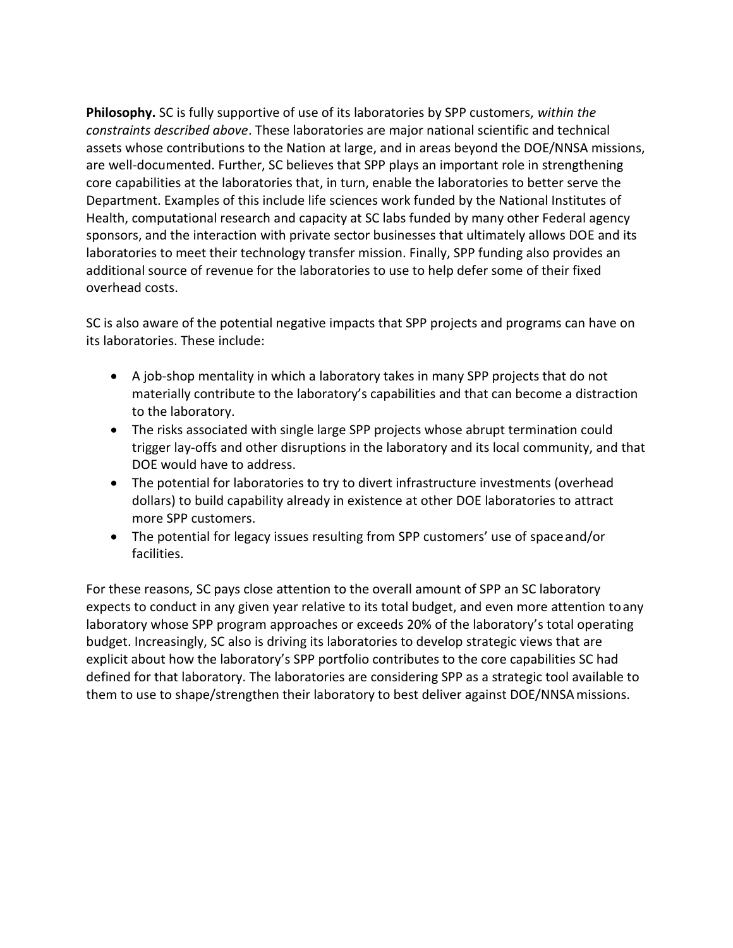**Philosophy.** SC is fully supportive of use of its laboratories by SPP customers, *within the constraints described above*. These laboratories are major national scientific and technical assets whose contributions to the Nation at large, and in areas beyond the DOE/NNSA missions, are well-documented. Further, SC believes that SPP plays an important role in strengthening core capabilities at the laboratories that, in turn, enable the laboratories to better serve the Department. Examples of this include life sciences work funded by the National Institutes of Health, computational research and capacity at SC labs funded by many other Federal agency sponsors, and the interaction with private sector businesses that ultimately allows DOE and its laboratories to meet their technology transfer mission. Finally, SPP funding also provides an additional source of revenue for the laboratories to use to help defer some of their fixed overhead costs.

SC is also aware of the potential negative impacts that SPP projects and programs can have on its laboratories. These include:

- A job-shop mentality in which a laboratory takes in many SPP projects that do not materially contribute to the laboratory's capabilities and that can become a distraction to the laboratory.
- The risks associated with single large SPP projects whose abrupt termination could trigger lay-offs and other disruptions in the laboratory and its local community, and that DOE would have to address.
- The potential for laboratories to try to divert infrastructure investments (overhead dollars) to build capability already in existence at other DOE laboratories to attract more SPP customers.
- The potential for legacy issues resulting from SPP customers' use of spaceand/or facilities.

For these reasons, SC pays close attention to the overall amount of SPP an SC laboratory expects to conduct in any given year relative to its total budget, and even more attention toany laboratory whose SPP program approaches or exceeds 20% of the laboratory's total operating budget. Increasingly, SC also is driving its laboratories to develop strategic views that are explicit about how the laboratory's SPP portfolio contributes to the core capabilities SC had defined for that laboratory. The laboratories are considering SPP as a strategic tool available to them to use to shape/strengthen their laboratory to best deliver against DOE/NNSAmissions.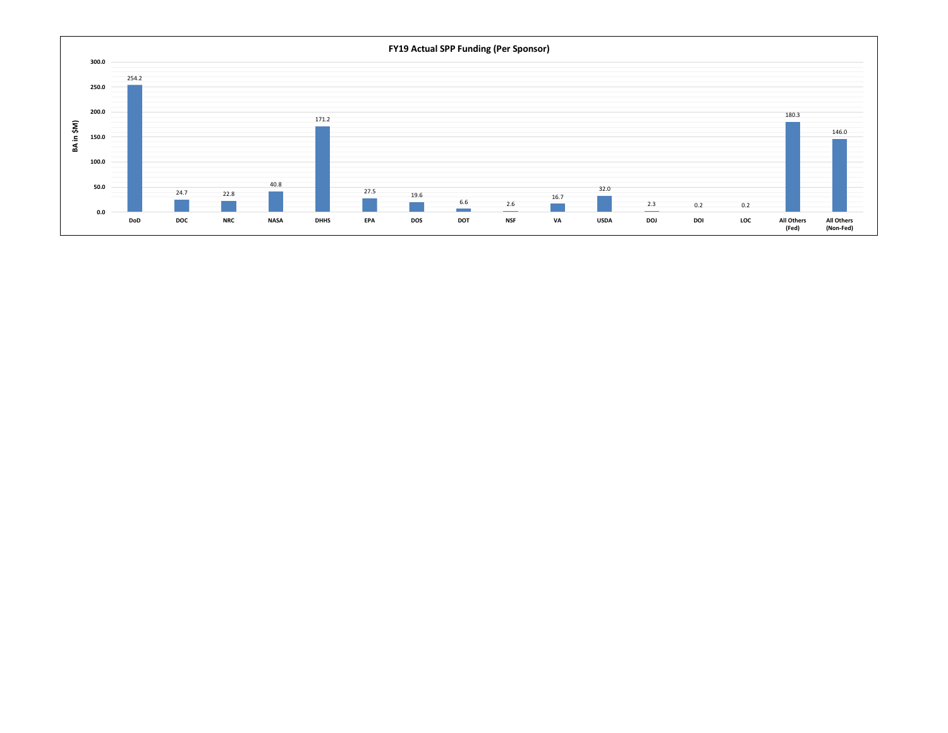